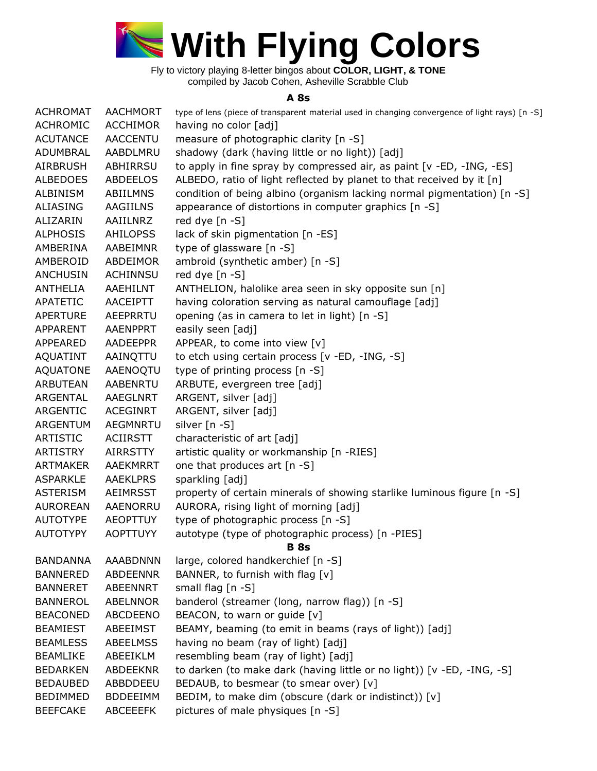

## **A 8s**

| <b>ACHROMAT</b> | <b>AACHMORT</b> | type of lens (piece of transparent material used in changing convergence of light rays) [n -S] |
|-----------------|-----------------|------------------------------------------------------------------------------------------------|
| <b>ACHROMIC</b> | <b>ACCHIMOR</b> | having no color [adj]                                                                          |
| <b>ACUTANCE</b> | <b>AACCENTU</b> | measure of photographic clarity [n -S]                                                         |
| ADUMBRAL        | AABDLMRU        | shadowy (dark (having little or no light)) [adj]                                               |
| <b>AIRBRUSH</b> | ABHIRRSU        | to apply in fine spray by compressed air, as paint [v -ED, -ING, -ES]                          |
| <b>ALBEDOES</b> | ABDEELOS        | ALBEDO, ratio of light reflected by planet to that received by it [n]                          |
| <b>ALBINISM</b> | <b>ABIILMNS</b> | condition of being albino (organism lacking normal pigmentation) [n -S]                        |
| <b>ALIASING</b> | <b>AAGIILNS</b> | appearance of distortions in computer graphics [n -S]                                          |
| ALIZARIN        | AAIILNRZ        | red dye [n -S]                                                                                 |
| <b>ALPHOSIS</b> | <b>AHILOPSS</b> | lack of skin pigmentation [n -ES]                                                              |
| AMBERINA        | AABEIMNR        | type of glassware [n -S]                                                                       |
| AMBEROID        | ABDEIMOR        | ambroid (synthetic amber) [n -S]                                                               |
| <b>ANCHUSIN</b> | ACHINNSU        | red dye [n -S]                                                                                 |
| ANTHELIA        | AAEHILNT        | ANTHELION, halolike area seen in sky opposite sun [n]                                          |
| APATETIC        | AACEIPTT        | having coloration serving as natural camouflage [adj]                                          |
| <b>APERTURE</b> | AEEPRRTU        | opening (as in camera to let in light) [n -S]                                                  |
| <b>APPARENT</b> | AAENPPRT        | easily seen [adj]                                                                              |
| APPEARED        | AADEEPPR        | APPEAR, to come into view [v]                                                                  |
| <b>AQUATINT</b> | AAINQTTU        | to etch using certain process [v -ED, -ING, -S]                                                |
| <b>AQUATONE</b> | AAENOQTU        | type of printing process [n -S]                                                                |
| <b>ARBUTEAN</b> | AABENRTU        | ARBUTE, evergreen tree [adj]                                                                   |
| ARGENTAL        | AAEGLNRT        | ARGENT, silver [adj]                                                                           |
| ARGENTIC        | ACEGINRT        | ARGENT, silver [adj]                                                                           |
| ARGENTUM        | AEGMNRTU        | silver [n -S]                                                                                  |
| <b>ARTISTIC</b> | <b>ACIIRSTT</b> | characteristic of art [adj]                                                                    |
| <b>ARTISTRY</b> | <b>AIRRSTTY</b> | artistic quality or workmanship [n -RIES]                                                      |
| <b>ARTMAKER</b> | AAEKMRRT        | one that produces art [n -S]                                                                   |
| <b>ASPARKLE</b> | <b>AAEKLPRS</b> | sparkling [adj]                                                                                |
| <b>ASTERISM</b> | AEIMRSST        | property of certain minerals of showing starlike luminous figure [n -S]                        |
| <b>AUROREAN</b> | AAENORRU        | AURORA, rising light of morning [adj]                                                          |
| <b>AUTOTYPE</b> | <b>AEOPTTUY</b> | type of photographic process [n -S]                                                            |
| <b>AUTOTYPY</b> | <b>AOPTTUYY</b> | autotype (type of photographic process) [n -PIES]<br><b>B</b> 8s                               |
| <b>BANDANNA</b> | AAABDNNN        | large, colored handkerchief [n -S]                                                             |
| <b>BANNERED</b> | ABDEENNR        | BANNER, to furnish with flag [v]                                                               |
| <b>BANNERET</b> | ABEENNRT        | small flag [n -S]                                                                              |
| <b>BANNEROL</b> | <b>ABELNNOR</b> | banderol (streamer (long, narrow flag)) [n -S]                                                 |
| <b>BEACONED</b> | ABCDEENO        | BEACON, to warn or guide [v]                                                                   |
| <b>BEAMIEST</b> | ABEEIMST        | BEAMY, beaming (to emit in beams (rays of light)) [adj]                                        |
| <b>BEAMLESS</b> | <b>ABEELMSS</b> | having no beam (ray of light) [adj]                                                            |
| <b>BEAMLIKE</b> | ABEEIKLM        | resembling beam (ray of light) [adj]                                                           |
| <b>BEDARKEN</b> | <b>ABDEEKNR</b> | to darken (to make dark (having little or no light)) [v -ED, -ING, -S]                         |
| <b>BEDAUBED</b> | ABBDDEEU        | BEDAUB, to besmear (to smear over) [v]                                                         |
| <b>BEDIMMED</b> | <b>BDDEEIMM</b> | BEDIM, to make dim (obscure (dark or indistinct)) [v]                                          |
| <b>BEEFCAKE</b> | <b>ABCEEEFK</b> | pictures of male physiques [n -S]                                                              |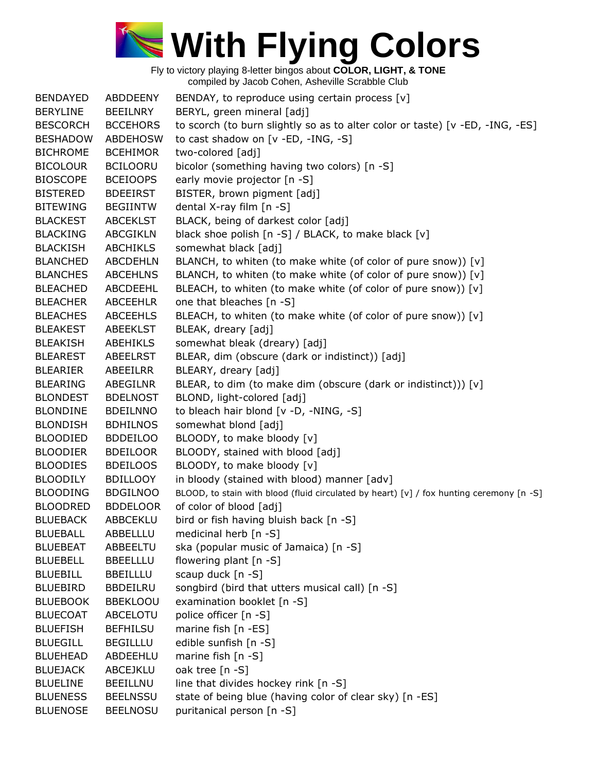

| <b>BENDAYED</b> | <b>ABDDEENY</b> | BENDAY, to reproduce using certain process [v]                                           |
|-----------------|-----------------|------------------------------------------------------------------------------------------|
| <b>BERYLINE</b> | <b>BEEILNRY</b> | BERYL, green mineral [adj]                                                               |
| <b>BESCORCH</b> | <b>BCCEHORS</b> | to scorch (to burn slightly so as to alter color or taste) [v -ED, -ING, -ES]            |
| <b>BESHADOW</b> | <b>ABDEHOSW</b> | to cast shadow on [v -ED, -ING, -S]                                                      |
| <b>BICHROME</b> | <b>BCEHIMOR</b> | two-colored [adj]                                                                        |
| <b>BICOLOUR</b> | <b>BCILOORU</b> | bicolor (something having two colors) [n -S]                                             |
| <b>BIOSCOPE</b> | <b>BCEIOOPS</b> | early movie projector [n -S]                                                             |
| <b>BISTERED</b> | <b>BDEEIRST</b> | BISTER, brown pigment [adj]                                                              |
| <b>BITEWING</b> | <b>BEGIINTW</b> | dental X-ray film [n -S]                                                                 |
| <b>BLACKEST</b> | <b>ABCEKLST</b> | BLACK, being of darkest color [adj]                                                      |
| <b>BLACKING</b> | <b>ABCGIKLN</b> | black shoe polish [n -S] / BLACK, to make black [v]                                      |
| <b>BLACKISH</b> | <b>ABCHIKLS</b> | somewhat black [adj]                                                                     |
| <b>BLANCHED</b> | <b>ABCDEHLN</b> | BLANCH, to whiten (to make white (of color of pure snow)) [v]                            |
| <b>BLANCHES</b> | <b>ABCEHLNS</b> | BLANCH, to whiten (to make white (of color of pure snow)) [v]                            |
| <b>BLEACHED</b> | ABCDEEHL        | BLEACH, to whiten (to make white (of color of pure snow)) [v]                            |
| <b>BLEACHER</b> | <b>ABCEEHLR</b> | one that bleaches [n -S]                                                                 |
| <b>BLEACHES</b> | <b>ABCEEHLS</b> | BLEACH, to whiten (to make white (of color of pure snow)) [v]                            |
| <b>BLEAKEST</b> | ABEEKLST        | BLEAK, dreary [adj]                                                                      |
| <b>BLEAKISH</b> | ABEHIKLS        | somewhat bleak (dreary) [adj]                                                            |
| <b>BLEAREST</b> | <b>ABEELRST</b> | BLEAR, dim (obscure (dark or indistinct)) [adj]                                          |
| <b>BLEARIER</b> | ABEEILRR        | BLEARY, dreary [adj]                                                                     |
| <b>BLEARING</b> | ABEGILNR        | BLEAR, to dim (to make dim (obscure (dark or indistinct))) [v]                           |
| <b>BLONDEST</b> | <b>BDELNOST</b> | BLOND, light-colored [adj]                                                               |
| <b>BLONDINE</b> | <b>BDEILNNO</b> | to bleach hair blond [v -D, -NING, -S]                                                   |
| <b>BLONDISH</b> | <b>BDHILNOS</b> | somewhat blond [adj]                                                                     |
| <b>BLOODIED</b> | <b>BDDEILOO</b> | BLOODY, to make bloody [v]                                                               |
| <b>BLOODIER</b> | <b>BDEILOOR</b> | BLOODY, stained with blood [adj]                                                         |
| <b>BLOODIES</b> | <b>BDEILOOS</b> | BLOODY, to make bloody [v]                                                               |
| <b>BLOODILY</b> | <b>BDILLOOY</b> | in bloody (stained with blood) manner [adv]                                              |
| <b>BLOODING</b> | <b>BDGILNOO</b> | BLOOD, to stain with blood (fluid circulated by heart) [v] / fox hunting ceremony [n -S] |
| <b>BLOODRED</b> | <b>BDDELOOR</b> | of color of blood [adj]                                                                  |
| <b>BLUEBACK</b> | ABBCEKLU        | bird or fish having bluish back [n -S]                                                   |
| <b>BLUEBALL</b> | ABBELLLU        | medicinal herb [n -S]                                                                    |
| <b>BLUEBEAT</b> | ABBEELTU        | ska (popular music of Jamaica) [n -S]                                                    |
| <b>BLUEBELL</b> | <b>BBEELLLU</b> | flowering plant [n -S]                                                                   |
| <b>BLUEBILL</b> | <b>BBEILLLU</b> | scaup duck [n -S]                                                                        |
| <b>BLUEBIRD</b> | <b>BBDEILRU</b> | songbird (bird that utters musical call) [n -S]                                          |
| <b>BLUEBOOK</b> | <b>BBEKLOOU</b> | examination booklet [n -S]                                                               |
| <b>BLUECOAT</b> | ABCELOTU        | police officer [n -S]                                                                    |
| <b>BLUEFISH</b> | <b>BEFHILSU</b> | marine fish [n -ES]                                                                      |
| <b>BLUEGILL</b> | <b>BEGILLLU</b> | edible sunfish [n -S]                                                                    |
| <b>BLUEHEAD</b> | ABDEEHLU        | marine fish [n -S]                                                                       |
| <b>BLUEJACK</b> | ABCEJKLU        | oak tree [n -S]                                                                          |
| <b>BLUELINE</b> | <b>BEEILLNU</b> | line that divides hockey rink [n -S]                                                     |
| <b>BLUENESS</b> | <b>BEELNSSU</b> | state of being blue (having color of clear sky) [n -ES]                                  |
| <b>BLUENOSE</b> | <b>BEELNOSU</b> | puritanical person [n -S]                                                                |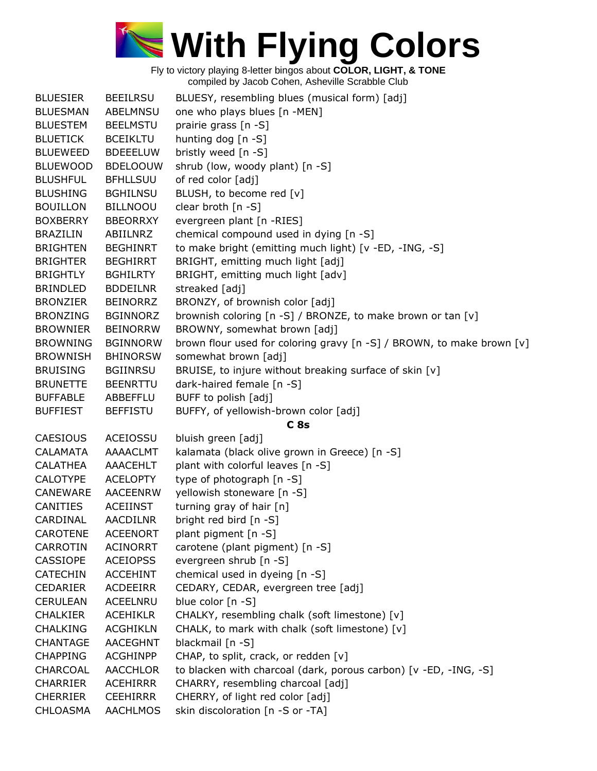

| <b>BLUESIER</b> | <b>BEEILRSU</b> | BLUESY, resembling blues (musical form) [adj]                         |
|-----------------|-----------------|-----------------------------------------------------------------------|
| <b>BLUESMAN</b> | <b>ABELMNSU</b> | one who plays blues [n -MEN]                                          |
| <b>BLUESTEM</b> | <b>BEELMSTU</b> | prairie grass [n -S]                                                  |
| <b>BLUETICK</b> | <b>BCEIKLTU</b> | hunting dog [n -S]                                                    |
| <b>BLUEWEED</b> | <b>BDEEELUW</b> | bristly weed [n -S]                                                   |
| <b>BLUEWOOD</b> | <b>BDELOOUW</b> | shrub (low, woody plant) [n -S]                                       |
| <b>BLUSHFUL</b> | <b>BFHLLSUU</b> | of red color [adj]                                                    |
| <b>BLUSHING</b> | <b>BGHILNSU</b> | BLUSH, to become red [v]                                              |
| <b>BOUILLON</b> | <b>BILLNOOU</b> | clear broth [n -S]                                                    |
| <b>BOXBERRY</b> | <b>BBEORRXY</b> | evergreen plant [n -RIES]                                             |
| <b>BRAZILIN</b> | ABIILNRZ        | chemical compound used in dying [n -S]                                |
| <b>BRIGHTEN</b> | <b>BEGHINRT</b> | to make bright (emitting much light) [v -ED, -ING, -S]                |
| <b>BRIGHTER</b> | <b>BEGHIRRT</b> | BRIGHT, emitting much light [adj]                                     |
| <b>BRIGHTLY</b> | <b>BGHILRTY</b> | BRIGHT, emitting much light [adv]                                     |
| BRINDLED        | <b>BDDEILNR</b> | streaked [adj]                                                        |
| <b>BRONZIER</b> | <b>BEINORRZ</b> | BRONZY, of brownish color [adj]                                       |
| <b>BRONZING</b> | <b>BGINNORZ</b> | brownish coloring [n -S] / BRONZE, to make brown or tan [v]           |
| <b>BROWNIER</b> | <b>BEINORRW</b> | BROWNY, somewhat brown [adj]                                          |
| <b>BROWNING</b> | <b>BGINNORW</b> | brown flour used for coloring gravy [n -S] / BROWN, to make brown [v] |
| <b>BROWNISH</b> | <b>BHINORSW</b> | somewhat brown [adj]                                                  |
| <b>BRUISING</b> | <b>BGIINRSU</b> | BRUISE, to injure without breaking surface of skin [v]                |
| <b>BRUNETTE</b> | <b>BEENRTTU</b> | dark-haired female [n -S]                                             |
| <b>BUFFABLE</b> | ABBEFFLU        | BUFF to polish [adj]                                                  |
| <b>BUFFIEST</b> | <b>BEFFISTU</b> | BUFFY, of yellowish-brown color [adj]                                 |
|                 |                 | C <sub>8s</sub>                                                       |
| <b>CAESIOUS</b> | ACEIOSSU        | bluish green [adj]                                                    |
| <b>CALAMATA</b> | AAAACLMT        | kalamata (black olive grown in Greece) [n -S]                         |
| <b>CALATHEA</b> | AAACEHLT        | plant with colorful leaves [n -S]                                     |
| <b>CALOTYPE</b> | <b>ACELOPTY</b> | type of photograph [n -S]                                             |
| CANEWARE        | <b>AACEENRW</b> | yellowish stoneware [n -S]                                            |
| CANITIES        | <b>ACEIINST</b> | turning gray of hair [n]                                              |
| CARDINAL        | <b>AACDILNR</b> | bright red bird [n -S]                                                |
| <b>CAROTENE</b> | <b>ACEENORT</b> | plant pigment [n -S]                                                  |
| CARROTIN        | <b>ACINORRT</b> | carotene (plant pigment) [n -S]                                       |
| <b>CASSIOPE</b> | <b>ACEIOPSS</b> | evergreen shrub [n -S]                                                |
| <b>CATECHIN</b> | <b>ACCEHINT</b> | chemical used in dyeing [n -S]                                        |
| <b>CEDARIER</b> | <b>ACDEEIRR</b> | CEDARY, CEDAR, evergreen tree [adj]                                   |
|                 | ACEELNRU        | blue color [n -S]                                                     |
| <b>CERULEAN</b> | <b>ACEHIKLR</b> |                                                                       |
| <b>CHALKIER</b> |                 | CHALKY, resembling chalk (soft limestone) [v]                         |
| <b>CHALKING</b> | <b>ACGHIKLN</b> | CHALK, to mark with chalk (soft limestone) [v]                        |
| <b>CHANTAGE</b> | <b>AACEGHNT</b> | blackmail [n -S]                                                      |
| <b>CHAPPING</b> | <b>ACGHINPP</b> | CHAP, to split, crack, or redden [v]                                  |
| CHARCOAL        | <b>AACCHLOR</b> | to blacken with charcoal (dark, porous carbon) [v -ED, -ING, -S]      |
| <b>CHARRIER</b> | <b>ACEHIRRR</b> | CHARRY, resembling charcoal [adj]                                     |
| <b>CHERRIER</b> | <b>CEEHIRRR</b> | CHERRY, of light red color [adj]                                      |
| <b>CHLOASMA</b> | <b>AACHLMOS</b> | skin discoloration [n -S or -TA]                                      |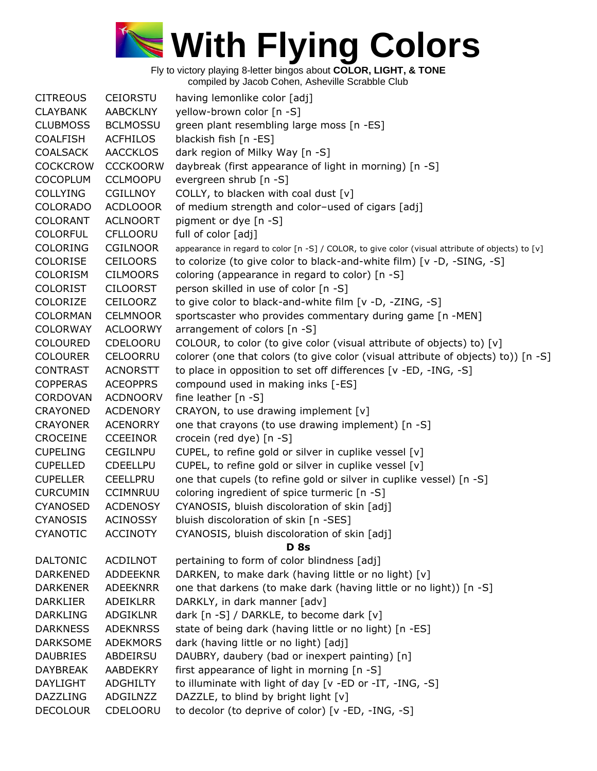

| <b>CITREOUS</b> | <b>CEIORSTU</b> | having lemonlike color [adj]                                                                     |
|-----------------|-----------------|--------------------------------------------------------------------------------------------------|
| <b>CLAYBANK</b> | AABCKLNY        | yellow-brown color [n -S]                                                                        |
| <b>CLUBMOSS</b> | <b>BCLMOSSU</b> | green plant resembling large moss [n -ES]                                                        |
| <b>COALFISH</b> | <b>ACFHILOS</b> | blackish fish [n -ES]                                                                            |
| <b>COALSACK</b> | <b>AACCKLOS</b> | dark region of Milky Way [n -S]                                                                  |
| <b>COCKCROW</b> | <b>CCCKOORW</b> | daybreak (first appearance of light in morning) [n -S]                                           |
| <b>COCOPLUM</b> | <b>CCLMOOPU</b> | evergreen shrub [n -S]                                                                           |
| <b>COLLYING</b> | <b>CGILLNOY</b> | COLLY, to blacken with coal dust [v]                                                             |
| <b>COLORADO</b> | <b>ACDLOOOR</b> | of medium strength and color-used of cigars [adj]                                                |
| <b>COLORANT</b> | <b>ACLNOORT</b> | pigment or dye [n -S]                                                                            |
| <b>COLORFUL</b> | <b>CFLLOORU</b> | full of color [adj]                                                                              |
| <b>COLORING</b> | <b>CGILNOOR</b> | appearance in regard to color [n -S] / COLOR, to give color (visual attribute of objects) to [v] |
| <b>COLORISE</b> | <b>CEILOORS</b> | to colorize (to give color to black-and-white film) [v -D, -SING, -S]                            |
| <b>COLORISM</b> | <b>CILMOORS</b> | coloring (appearance in regard to color) [n -S]                                                  |
| <b>COLORIST</b> | <b>CILOORST</b> | person skilled in use of color [n -S]                                                            |
| <b>COLORIZE</b> | <b>CEILOORZ</b> | to give color to black-and-white film [v -D, -ZING, -S]                                          |
| <b>COLORMAN</b> | <b>CELMNOOR</b> | sportscaster who provides commentary during game [n -MEN]                                        |
| <b>COLORWAY</b> | <b>ACLOORWY</b> | arrangement of colors [n -S]                                                                     |
| <b>COLOURED</b> | CDELOORU        | COLOUR, to color (to give color (visual attribute of objects) to) [v]                            |
| <b>COLOURER</b> | <b>CELOORRU</b> | colorer (one that colors (to give color (visual attribute of objects) to)) [n -S]                |
| <b>CONTRAST</b> | <b>ACNORSTT</b> | to place in opposition to set off differences [v -ED, -ING, -S]                                  |
| <b>COPPERAS</b> | <b>ACEOPPRS</b> | compound used in making inks [-ES]                                                               |
| <b>CORDOVAN</b> | <b>ACDNOORV</b> | fine leather [n -S]                                                                              |
| <b>CRAYONED</b> | <b>ACDENORY</b> |                                                                                                  |
|                 |                 | CRAYON, to use drawing implement [v]                                                             |
| <b>CRAYONER</b> | <b>ACENORRY</b> | one that crayons (to use drawing implement) [n -S]                                               |
| CROCEINE        | <b>CCEEINOR</b> | crocein (red dye) [n -S]                                                                         |
| <b>CUPELING</b> | <b>CEGILNPU</b> | CUPEL, to refine gold or silver in cuplike vessel [v]                                            |
| <b>CUPELLED</b> | <b>CDEELLPU</b> | CUPEL, to refine gold or silver in cuplike vessel [v]                                            |
| <b>CUPELLER</b> | <b>CEELLPRU</b> | one that cupels (to refine gold or silver in cuplike vessel) [n -S]                              |
| <b>CURCUMIN</b> | <b>CCIMNRUU</b> | coloring ingredient of spice turmeric [n -S]                                                     |
| <b>CYANOSED</b> | <b>ACDENOSY</b> | CYANOSIS, bluish discoloration of skin [adj]                                                     |
| <b>CYANOSIS</b> | <b>ACINOSSY</b> | bluish discoloration of skin [n -SES]                                                            |
| <b>CYANOTIC</b> | <b>ACCINOTY</b> | CYANOSIS, bluish discoloration of skin [adj]                                                     |
|                 |                 | <b>D</b> 8s                                                                                      |
| <b>DALTONIC</b> | ACDILNOT        | pertaining to form of color blindness [adj]                                                      |
| <b>DARKENED</b> | <b>ADDEEKNR</b> | DARKEN, to make dark (having little or no light) [v]                                             |
| <b>DARKENER</b> | <b>ADEEKNRR</b> | one that darkens (to make dark (having little or no light)) [n -S]                               |
| <b>DARKLIER</b> | <b>ADEIKLRR</b> | DARKLY, in dark manner [adv]                                                                     |
| <b>DARKLING</b> | <b>ADGIKLNR</b> | dark [n -S] / DARKLE, to become dark [v]                                                         |
| <b>DARKNESS</b> | <b>ADEKNRSS</b> | state of being dark (having little or no light) [n -ES]                                          |
| <b>DARKSOME</b> | <b>ADEKMORS</b> | dark (having little or no light) [adj]                                                           |
| <b>DAUBRIES</b> | ABDEIRSU        | DAUBRY, daubery (bad or inexpert painting) [n]                                                   |
| <b>DAYBREAK</b> | AABDEKRY        | first appearance of light in morning [n -S]                                                      |
| DAYLIGHT        | <b>ADGHILTY</b> | to illuminate with light of day [v -ED or -IT, -ING, -S]                                         |
| <b>DAZZLING</b> | ADGILNZZ        | DAZZLE, to blind by bright light [v]                                                             |
| <b>DECOLOUR</b> | CDELOORU        | to decolor (to deprive of color) [v -ED, -ING, -S]                                               |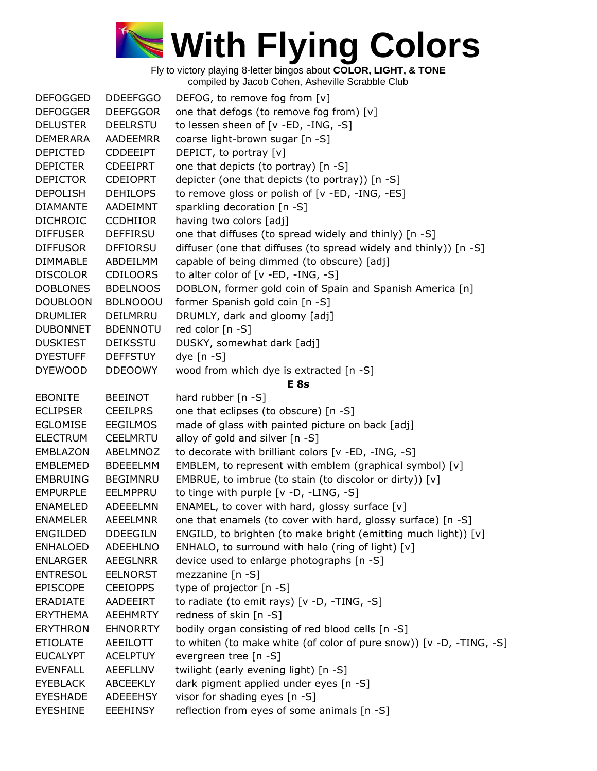

| <b>DEFOGGED</b> | <b>DDEEFGGO</b> | DEFOG, to remove fog from [v]                                       |
|-----------------|-----------------|---------------------------------------------------------------------|
| <b>DEFOGGER</b> | <b>DEEFGGOR</b> | one that defogs (to remove fog from) [v]                            |
| <b>DELUSTER</b> | <b>DEELRSTU</b> | to lessen sheen of [v -ED, -ING, -S]                                |
| <b>DEMERARA</b> | AADEEMRR        | coarse light-brown sugar [n -S]                                     |
| <b>DEPICTED</b> | <b>CDDEEIPT</b> | DEPICT, to portray [v]                                              |
| <b>DEPICTER</b> | <b>CDEEIPRT</b> | one that depicts (to portray) [n -S]                                |
| <b>DEPICTOR</b> | <b>CDEIOPRT</b> | depicter (one that depicts (to portray)) [n -S]                     |
| <b>DEPOLISH</b> | <b>DEHILOPS</b> | to remove gloss or polish of [v -ED, -ING, -ES]                     |
| <b>DIAMANTE</b> | AADEIMNT        | sparkling decoration [n -S]                                         |
| <b>DICHROIC</b> | <b>CCDHIIOR</b> | having two colors [adj]                                             |
| <b>DIFFUSER</b> | <b>DEFFIRSU</b> | one that diffuses (to spread widely and thinly) [n -S]              |
| <b>DIFFUSOR</b> | <b>DFFIORSU</b> | diffuser (one that diffuses (to spread widely and thinly)) [n -S]   |
| <b>DIMMABLE</b> | ABDEILMM        | capable of being dimmed (to obscure) [adj]                          |
| <b>DISCOLOR</b> | <b>CDILOORS</b> | to alter color of [v -ED, -ING, -S]                                 |
| <b>DOBLONES</b> | <b>BDELNOOS</b> | DOBLON, former gold coin of Spain and Spanish America [n]           |
| <b>DOUBLOON</b> | <b>BDLNOOOU</b> | former Spanish gold coin [n -S]                                     |
| <b>DRUMLIER</b> | DEILMRRU        | DRUMLY, dark and gloomy [adj]                                       |
| <b>DUBONNET</b> | <b>BDENNOTU</b> | red color [n -S]                                                    |
| <b>DUSKIEST</b> | <b>DEIKSSTU</b> | DUSKY, somewhat dark [adj]                                          |
| <b>DYESTUFF</b> | <b>DEFFSTUY</b> | dye $[n - S]$                                                       |
| <b>DYEWOOD</b>  | <b>DDEOOWY</b>  | wood from which dye is extracted [n -S]                             |
|                 |                 | E <sub>8s</sub>                                                     |
| <b>EBONITE</b>  | <b>BEEINOT</b>  | hard rubber [n -S]                                                  |
| <b>ECLIPSER</b> | <b>CEEILPRS</b> | one that eclipses (to obscure) [n -S]                               |
| <b>EGLOMISE</b> | <b>EEGILMOS</b> | made of glass with painted picture on back [adj]                    |
| <b>ELECTRUM</b> | <b>CEELMRTU</b> | alloy of gold and silver [n -S]                                     |
| <b>EMBLAZON</b> | ABELMNOZ        | to decorate with brilliant colors [v -ED, -ING, -S]                 |
| <b>EMBLEMED</b> | <b>BDEEELMM</b> | EMBLEM, to represent with emblem (graphical symbol) [v]             |
| <b>EMBRUING</b> | <b>BEGIMNRU</b> | EMBRUE, to imbrue (to stain (to discolor or dirty)) [v]             |
| <b>EMPURPLE</b> | EELMPPRU        | to tinge with purple [v -D, -LING, -S]                              |
| <b>ENAMELED</b> | ADEEELMN        | ENAMEL, to cover with hard, glossy surface [v]                      |
| <b>ENAMELER</b> | AEEELMNR        | one that enamels (to cover with hard, glossy surface) [n -S]        |
| <b>ENGILDED</b> | <b>DDEEGILN</b> | ENGILD, to brighten (to make bright (emitting much light)) [v]      |
| <b>ENHALOED</b> | <b>ADEEHLNO</b> | ENHALO, to surround with halo (ring of light) [v]                   |
| <b>ENLARGER</b> | <b>AEEGLNRR</b> | device used to enlarge photographs [n -S]                           |
| <b>ENTRESOL</b> | <b>EELNORST</b> | mezzanine $[n -S]$                                                  |
| <b>EPISCOPE</b> | <b>CEEIOPPS</b> | type of projector [n -S]                                            |
| ERADIATE        | AADEEIRT        | to radiate (to emit rays) [v -D, -TING, -S]                         |
| <b>ERYTHEMA</b> | <b>AEEHMRTY</b> | redness of skin [n -S]                                              |
| <b>ERYTHRON</b> | <b>EHNORRTY</b> | bodily organ consisting of red blood cells [n -S]                   |
| <b>ETIOLATE</b> | AEEILOTT        | to whiten (to make white (of color of pure snow)) [v -D, -TING, -S] |
| <b>EUCALYPT</b> | <b>ACELPTUY</b> | evergreen tree [n -S]                                               |
| <b>EVENFALL</b> | <b>AEEFLLNV</b> | twilight (early evening light) [n -S]                               |
| <b>EYEBLACK</b> | <b>ABCEEKLY</b> | dark pigment applied under eyes [n -S]                              |
| <b>EYESHADE</b> | <b>ADEEEHSY</b> | visor for shading eyes [n -S]                                       |
| <b>EYESHINE</b> | <b>EEEHINSY</b> | reflection from eyes of some animals [n -S]                         |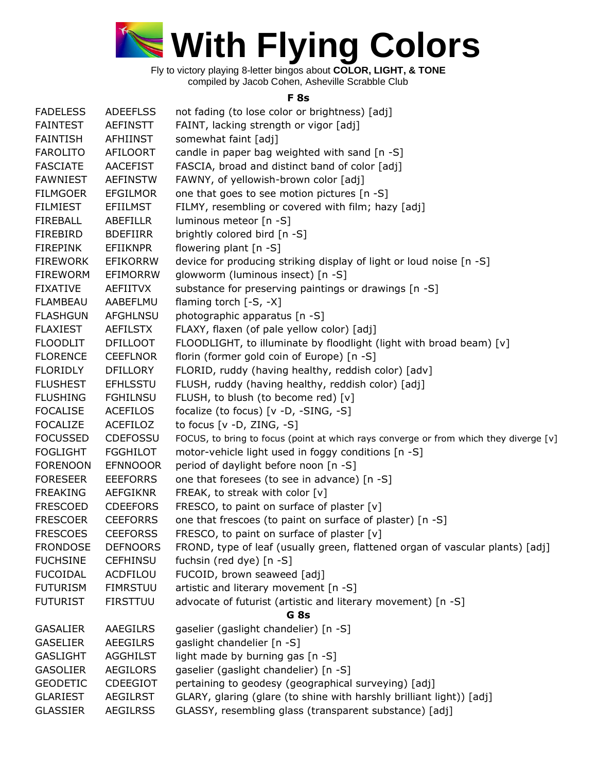

## **F 8s**

| <b>FADELESS</b>                    | <b>ADEEFLSS</b>             | not fading (to lose color or brightness) [adj]                                        |
|------------------------------------|-----------------------------|---------------------------------------------------------------------------------------|
| <b>FAINTEST</b>                    | <b>AEFINSTT</b>             | FAINT, lacking strength or vigor [adj]                                                |
| <b>FAINTISH</b>                    | AFHIINST                    | somewhat faint [adj]                                                                  |
| <b>FAROLITO</b>                    | <b>AFILOORT</b>             | candle in paper bag weighted with sand [n -S]                                         |
| <b>FASCIATE</b>                    | <b>AACEFIST</b>             | FASCIA, broad and distinct band of color [adj]                                        |
| <b>FAWNIEST</b>                    | <b>AEFINSTW</b>             | FAWNY, of yellowish-brown color [adj]                                                 |
| <b>FILMGOER</b>                    | <b>EFGILMOR</b>             | one that goes to see motion pictures [n -S]                                           |
| <b>FILMIEST</b>                    | <b>EFIILMST</b>             | FILMY, resembling or covered with film; hazy [adj]                                    |
| <b>FIREBALL</b>                    | ABEFILLR                    | luminous meteor [n -S]                                                                |
| <b>FIREBIRD</b>                    | <b>BDEFIIRR</b>             | brightly colored bird [n -S]                                                          |
| <b>FIREPINK</b>                    | <b>EFIIKNPR</b>             | flowering plant [n -S]                                                                |
| <b>FIREWORK</b>                    | <b>EFIKORRW</b>             | device for producing striking display of light or loud noise [n -S]                   |
| <b>FIREWORM</b>                    | <b>EFIMORRW</b>             | glowworm (luminous insect) [n -S]                                                     |
| <b>FIXATIVE</b>                    | AEFIITVX                    | substance for preserving paintings or drawings [n -S]                                 |
|                                    |                             | flaming torch $[-S, -X]$                                                              |
| <b>FLAMBEAU</b><br><b>FLASHGUN</b> | AABEFLMU<br><b>AFGHLNSU</b> |                                                                                       |
|                                    |                             | photographic apparatus [n -S]                                                         |
| <b>FLAXIEST</b>                    | <b>AEFILSTX</b>             | FLAXY, flaxen (of pale yellow color) [adj]                                            |
| <b>FLOODLIT</b>                    | <b>DFILLOOT</b>             | FLOODLIGHT, to illuminate by floodlight (light with broad beam) [v]                   |
| <b>FLORENCE</b>                    | <b>CEEFLNOR</b>             | florin (former gold coin of Europe) [n -S]                                            |
| <b>FLORIDLY</b>                    | <b>DFILLORY</b>             | FLORID, ruddy (having healthy, reddish color) [adv]                                   |
| <b>FLUSHEST</b>                    | <b>EFHLSSTU</b>             | FLUSH, ruddy (having healthy, reddish color) [adj]                                    |
| <b>FLUSHING</b>                    | <b>FGHILNSU</b>             | FLUSH, to blush (to become red) [v]                                                   |
| <b>FOCALISE</b>                    | <b>ACEFILOS</b>             | focalize (to focus) [v -D, -SING, -S]                                                 |
| <b>FOCALIZE</b>                    | ACEFILOZ                    | to focus $[v -D, ZING, -S]$                                                           |
| <b>FOCUSSED</b>                    | <b>CDEFOSSU</b>             | FOCUS, to bring to focus (point at which rays converge or from which they diverge [v] |
| <b>FOGLIGHT</b>                    | <b>FGGHILOT</b>             | motor-vehicle light used in foggy conditions [n -S]                                   |
| <b>FORENOON</b>                    | <b>EFNNOOOR</b>             | period of daylight before noon [n -S]                                                 |
| <b>FORESEER</b>                    | <b>EEEFORRS</b>             | one that foresees (to see in advance) [n -S]                                          |
| <b>FREAKING</b>                    | <b>AEFGIKNR</b>             | FREAK, to streak with color [v]                                                       |
| <b>FRESCOED</b>                    | <b>CDEEFORS</b>             | FRESCO, to paint on surface of plaster [v]                                            |
| <b>FRESCOER</b>                    | <b>CEEFORRS</b>             | one that frescoes (to paint on surface of plaster) [n -S]                             |
| <b>FRESCOES</b>                    | <b>CEEFORSS</b>             | FRESCO, to paint on surface of plaster [v]                                            |
| <b>FRONDOSE</b>                    | <b>DEFNOORS</b>             | FROND, type of leaf (usually green, flattened organ of vascular plants) [adj]         |
| <b>FUCHSINE</b>                    | <b>CEFHINSU</b>             | fuchsin (red dye) [n -S]                                                              |
| <b>FUCOIDAL</b>                    | ACDFILOU                    | FUCOID, brown seaweed [adj]                                                           |
| <b>FUTURISM</b>                    | <b>FIMRSTUU</b>             | artistic and literary movement [n -S]                                                 |
| <b>FUTURIST</b>                    | <b>FIRSTTUU</b>             | advocate of futurist (artistic and literary movement) [n -S]                          |
|                                    |                             | G <sub>8s</sub>                                                                       |
| <b>GASALIER</b>                    | AAEGILRS                    | gaselier (gaslight chandelier) [n -S]                                                 |
| <b>GASELIER</b>                    | <b>AEEGILRS</b>             | gaslight chandelier [n -S]                                                            |
| <b>GASLIGHT</b>                    | <b>AGGHILST</b>             | light made by burning gas [n -S]                                                      |
| <b>GASOLIER</b>                    | <b>AEGILORS</b>             | gaselier (gaslight chandelier) [n -S]                                                 |
| <b>GEODETIC</b>                    | <b>CDEEGIOT</b>             | pertaining to geodesy (geographical surveying) [adj]                                  |
| <b>GLARIEST</b>                    | <b>AEGILRST</b>             | GLARY, glaring (glare (to shine with harshly brilliant light)) [adj]                  |
| <b>GLASSIER</b>                    | <b>AEGILRSS</b>             | GLASSY, resembling glass (transparent substance) [adj]                                |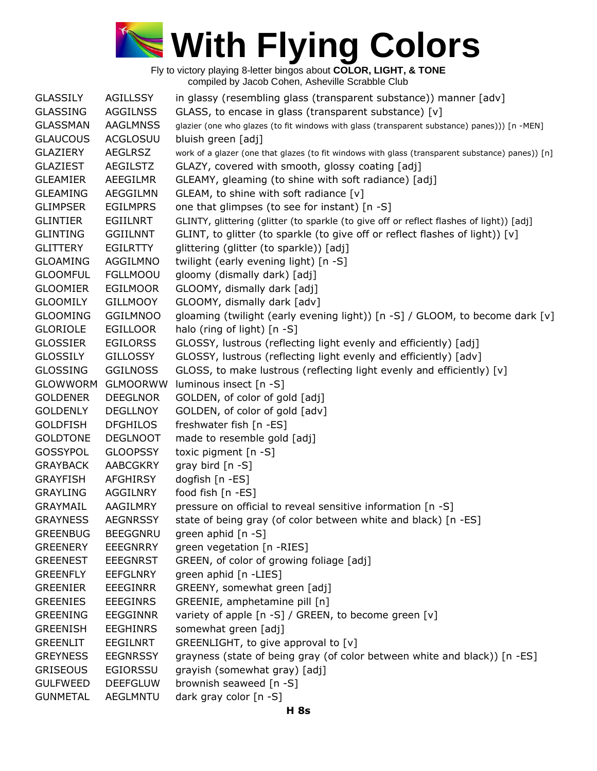

GLASSILY AGILLSSY in glassy (resembling glass (transparent substance)) manner [adv] GLASSING AGGILNSS GLASS, to encase in glass (transparent substance) [v] GLASSMAN AAGLMNSS glazier (one who glazes (to fit windows with glass (transparent substance) panes))) [n -MEN] GLAUCOUS ACGLOSUU bluish green [adj] GLAZIERY AEGLRSZ work of a glazer (one that glazes (to fit windows with glass (transparent substance) panes)) [n] GLAZIEST AEGILSTZ GLAZY, covered with smooth, glossy coating [adj] GLEAMIER AEEGILMR GLEAMY, gleaming (to shine with soft radiance) [adj] GLEAMING AEGGILMN GLEAM, to shine with soft radiance [v] GLIMPSER EGILMPRS one that glimpses (to see for instant) [n -S] GLINTIER EGIILNRT GLINTY, glittering (glitter (to sparkle (to give off or reflect flashes of light)) [adj] GLINTING GGIILNNT GLINT, to glitter (to sparkle (to give off or reflect flashes of light)) [v] GLITTERY EGILRTTY glittering (glitter (to sparkle)) [adj] GLOAMING AGGILMNO twilight (early evening light) [n -S] GLOOMFUL FGLLMOOU gloomy (dismally dark) [adj] GLOOMIER EGILMOOR GLOOMY, dismally dark [adj] GLOOMILY GILLMOOY GLOOMY, dismally dark [adv] GLOOMING GGILMNOO gloaming (twilight (early evening light)) [n -S] / GLOOM, to become dark [v] GLORIOLE EGILLOOR halo (ring of light) [n -S] GLOSSIER EGILORSS GLOSSY, lustrous (reflecting light evenly and efficiently) [adj] GLOSSILY GILLOSSY GLOSSY, lustrous (reflecting light evenly and efficiently) [adv] GLOSSING GGILNOSS GLOSS, to make lustrous (reflecting light evenly and efficiently) [v] GLOWWORM GLMOORWW luminous insect [n -S] GOLDENER DEEGLNOR GOLDEN, of color of gold [adj] GOLDENLY DEGLLNOY GOLDEN, of color of gold [adv] GOLDFISH DFGHILOS freshwater fish [n -ES] GOLDTONE DEGLNOOT made to resemble gold [adj] GOSSYPOL GLOOPSSY toxic pigment [n -S] GRAYBACK AABCGKRY gray bird [n -S] GRAYFISH AFGHIRSY dogfish [n -ES] GRAYLING AGGILNRY food fish [n -ES] GRAYMAIL AAGILMRY pressure on official to reveal sensitive information [n -S] GRAYNESS AEGNRSSY state of being gray (of color between white and black) [n -ES] GREENBUG BEEGGNRU green aphid [n -S] GREENERY EEEGNRRY green vegetation [n -RIES] GREENEST EEEGNRST GREEN, of color of growing foliage [adj] GREENFLY EEFGLNRY green aphid [n -LIES] GREENIER EEEGINRR GREENY, somewhat green [adj] GREENIES EEEGINRS GREENIE, amphetamine pill [n] GREENING EEGGINNR variety of apple [n -S] / GREEN, to become green [v] GREENISH EEGHINRS somewhat green [adj] GREENLIT EEGILNRT GREENLIGHT, to give approval to [v] GREYNESS EEGNRSSY grayness (state of being gray (of color between white and black)) [n -ES] GRISEOUS EGIORSSU grayish (somewhat gray) [adj] GULFWEED DEEFGLUW brownish seaweed [n -S] GUNMETAL AEGLMNTU dark gray color [n -S]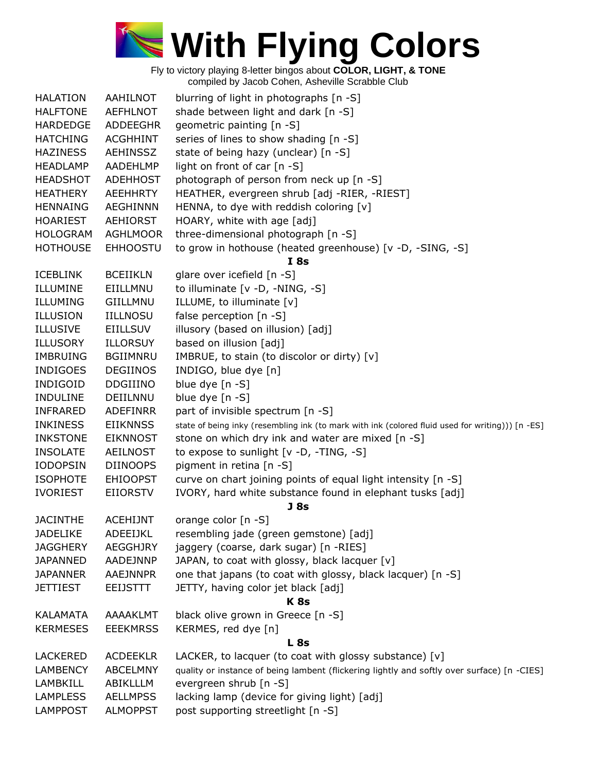

| <b>HALATION</b> | AAHILNOT        | blurring of light in photographs [n -S]                                                          |
|-----------------|-----------------|--------------------------------------------------------------------------------------------------|
| <b>HALFTONE</b> | <b>AEFHLNOT</b> | shade between light and dark [n -S]                                                              |
| <b>HARDEDGE</b> | ADDEEGHR        | geometric painting [n -S]                                                                        |
| <b>HATCHING</b> | <b>ACGHHINT</b> | series of lines to show shading [n -S]                                                           |
| <b>HAZINESS</b> | AEHINSSZ        | state of being hazy (unclear) [n -S]                                                             |
| <b>HEADLAMP</b> | AADEHLMP        | light on front of car [n -S]                                                                     |
| <b>HEADSHOT</b> | <b>ADEHHOST</b> | photograph of person from neck up [n -S]                                                         |
| <b>HEATHERY</b> | AEEHHRTY        | HEATHER, evergreen shrub [adj -RIER, -RIEST]                                                     |
| <b>HENNAING</b> | <b>AEGHINNN</b> | HENNA, to dye with reddish coloring [v]                                                          |
| <b>HOARIEST</b> | AEHIORST        | HOARY, white with age [adj]                                                                      |
| <b>HOLOGRAM</b> | <b>AGHLMOOR</b> | three-dimensional photograph [n -S]                                                              |
| <b>HOTHOUSE</b> | <b>EHHOOSTU</b> | to grow in hothouse (heated greenhouse) [v -D, -SING, -S]                                        |
|                 |                 | I 8s                                                                                             |
| <b>ICEBLINK</b> | <b>BCEIIKLN</b> | glare over icefield [n -S]                                                                       |
| ILLUMINE        | EIILLMNU        | to illuminate [v -D, -NING, -S]                                                                  |
| ILLUMING        | GIILLMNU        |                                                                                                  |
|                 | <b>IILLNOSU</b> | ILLUME, to illuminate [v]                                                                        |
| <b>ILLUSION</b> |                 | false perception [n -S]                                                                          |
| <b>ILLUSIVE</b> | <b>EIILLSUV</b> | illusory (based on illusion) [adj]                                                               |
| <b>ILLUSORY</b> | <b>ILLORSUY</b> | based on illusion [adj]                                                                          |
| <b>IMBRUING</b> | <b>BGIIMNRU</b> | IMBRUE, to stain (to discolor or dirty) [v]                                                      |
| <b>INDIGOES</b> | <b>DEGIINOS</b> | INDIGO, blue dye [n]                                                                             |
| <b>INDIGOID</b> | <b>DDGIIINO</b> | blue dye [n -S]                                                                                  |
| <b>INDULINE</b> | DEIILNNU        | blue dye [n -S]                                                                                  |
| <b>INFRARED</b> | <b>ADEFINRR</b> | part of invisible spectrum [n -S]                                                                |
| <b>INKINESS</b> | <b>EIIKNNSS</b> | state of being inky (resembling ink (to mark with ink (colored fluid used for writing))) [n -ES] |
| <b>INKSTONE</b> | <b>EIKNNOST</b> | stone on which dry ink and water are mixed [n -S]                                                |
| <b>INSOLATE</b> | <b>AEILNOST</b> | to expose to sunlight [v -D, -TING, -S]                                                          |
| <b>IODOPSIN</b> | <b>DIINOOPS</b> | pigment in retina [n -S]                                                                         |
| <b>ISOPHOTE</b> | <b>EHIOOPST</b> | curve on chart joining points of equal light intensity [n -S]                                    |
| <b>IVORIEST</b> | <b>EIIORSTV</b> | IVORY, hard white substance found in elephant tusks [adj]                                        |
|                 |                 | <b>J</b> 8s                                                                                      |
| <b>JACINTHE</b> | <b>ACEHIJNT</b> | orange color [n -S]                                                                              |
| <b>JADELIKE</b> | <b>ADEEIJKL</b> | resembling jade (green gemstone) [adj]                                                           |
| <b>JAGGHERY</b> | <b>AEGGHJRY</b> | jaggery (coarse, dark sugar) [n -RIES]                                                           |
| <b>JAPANNED</b> | AADEJNNP        | JAPAN, to coat with glossy, black lacquer [v]                                                    |
| <b>JAPANNER</b> | AAEJNNPR        | one that japans (to coat with glossy, black lacquer) [n -S]                                      |
| <b>JETTIEST</b> | <b>EEIJSTTT</b> | JETTY, having color jet black [adj]                                                              |
|                 |                 | K <sub>8s</sub>                                                                                  |
| KALAMATA        | AAAAKLMT        | black olive grown in Greece [n -S]                                                               |
| <b>KERMESES</b> | <b>EEEKMRSS</b> | KERMES, red dye [n]                                                                              |
|                 |                 | <b>L</b> 8s                                                                                      |
| <b>LACKERED</b> | <b>ACDEEKLR</b> | LACKER, to lacquer (to coat with glossy substance) [v]                                           |
| <b>LAMBENCY</b> | <b>ABCELMNY</b> | quality or instance of being lambent (flickering lightly and softly over surface) [n -CIES]      |
| <b>LAMBKILL</b> | ABIKLLLM        | evergreen shrub [n -S]                                                                           |
| <b>LAMPLESS</b> | <b>AELLMPSS</b> | lacking lamp (device for giving light) [adj]                                                     |
| <b>LAMPPOST</b> | <b>ALMOPPST</b> | post supporting streetlight [n -S]                                                               |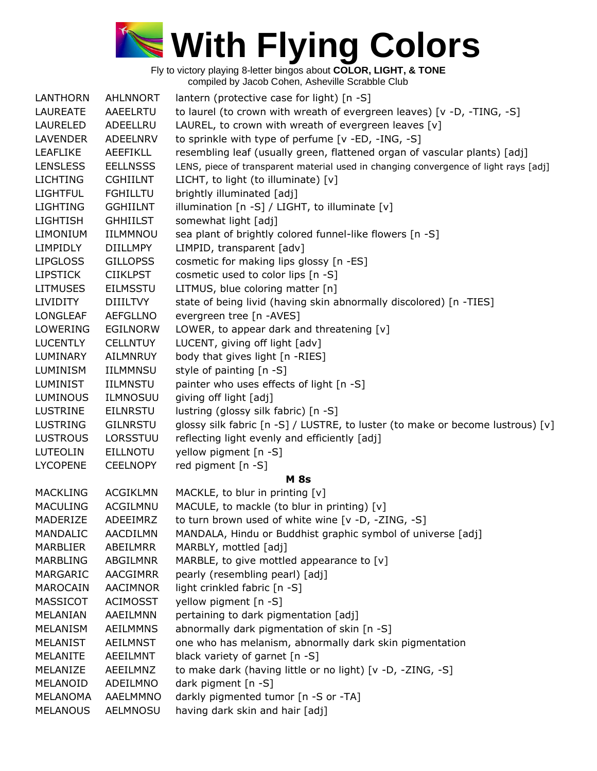

| <b>LANTHORN</b> | <b>AHLNNORT</b> | lantern (protective case for light) [n -S]                                           |
|-----------------|-----------------|--------------------------------------------------------------------------------------|
| LAUREATE        | AAEELRTU        | to laurel (to crown with wreath of evergreen leaves) [v -D, -TING, -S]               |
| LAURELED        | ADEELLRU        | LAUREL, to crown with wreath of evergreen leaves [v]                                 |
| <b>LAVENDER</b> | <b>ADEELNRV</b> | to sprinkle with type of perfume [v -ED, -ING, -S]                                   |
| <b>LEAFLIKE</b> | <b>AEEFIKLL</b> | resembling leaf (usually green, flattened organ of vascular plants) [adj]            |
| <b>LENSLESS</b> | <b>EELLNSSS</b> | LENS, piece of transparent material used in changing convergence of light rays [adj] |
| <b>LICHTING</b> | <b>CGHIILNT</b> | LICHT, to light (to illuminate) [v]                                                  |
| <b>LIGHTFUL</b> | <b>FGHILLTU</b> | brightly illuminated [adj]                                                           |
| <b>LIGHTING</b> | <b>GGHIILNT</b> | illumination [n -S] / LIGHT, to illuminate [v]                                       |
| <b>LIGHTISH</b> | <b>GHHIILST</b> | somewhat light [adj]                                                                 |
| <b>LIMONIUM</b> | IILMMNOU        | sea plant of brightly colored funnel-like flowers [n -S]                             |
| <b>LIMPIDLY</b> | <b>DIILLMPY</b> | LIMPID, transparent [adv]                                                            |
| <b>LIPGLOSS</b> | <b>GILLOPSS</b> | cosmetic for making lips glossy [n -ES]                                              |
| <b>LIPSTICK</b> | <b>CIIKLPST</b> | cosmetic used to color lips [n -S]                                                   |
| <b>LITMUSES</b> | <b>EILMSSTU</b> | LITMUS, blue coloring matter [n]                                                     |
| <b>LIVIDITY</b> | <b>DIIILTVY</b> | state of being livid (having skin abnormally discolored) [n -TIES]                   |
| <b>LONGLEAF</b> | <b>AEFGLLNO</b> | evergreen tree [n -AVES]                                                             |
| LOWERING        | <b>EGILNORW</b> | LOWER, to appear dark and threatening [v]                                            |
| <b>LUCENTLY</b> | <b>CELLNTUY</b> | LUCENT, giving off light [adv]                                                       |
| LUMINARY        | AILMNRUY        | body that gives light [n -RIES]                                                      |
| LUMINISM        | <b>IILMMNSU</b> | style of painting [n -S]                                                             |
| <b>LUMINIST</b> | <b>IILMNSTU</b> | painter who uses effects of light [n -S]                                             |
| <b>LUMINOUS</b> | <b>ILMNOSUU</b> | giving off light [adj]                                                               |
| <b>LUSTRINE</b> | <b>EILNRSTU</b> | lustring (glossy silk fabric) [n -S]                                                 |
| <b>LUSTRING</b> | <b>GILNRSTU</b> | glossy silk fabric [n -S] / LUSTRE, to luster (to make or become lustrous) [v]       |
| <b>LUSTROUS</b> | LORSSTUU        | reflecting light evenly and efficiently [adj]                                        |
| <b>LUTEOLIN</b> | <b>EILLNOTU</b> | yellow pigment [n -S]                                                                |
| <b>LYCOPENE</b> | <b>CEELNOPY</b> | red pigment [n -S]                                                                   |
|                 |                 | <b>M</b> 8s                                                                          |
| <b>MACKLING</b> | <b>ACGIKLMN</b> | MACKLE, to blur in printing [v]                                                      |
| <b>MACULING</b> | ACGILMNU        | MACULE, to mackle (to blur in printing) [v]                                          |
| MADERIZE        | ADEEIMRZ        | to turn brown used of white wine [v -D, -ZING, -S]                                   |
| <b>MANDALIC</b> | <b>AACDILMN</b> | MANDALA, Hindu or Buddhist graphic symbol of universe [adj]                          |
| MARBLIER        | ABEILMRR        | MARBLY, mottled [adj]                                                                |
| MARBLING        | ABGILMNR        | MARBLE, to give mottled appearance to $[v]$                                          |
| MARGARIC        | AACGIMRR        | pearly (resembling pearl) [adj]                                                      |
| MAROCAIN        | <b>AACIMNOR</b> | light crinkled fabric [n -S]                                                         |
| MASSICOT        | <b>ACIMOSST</b> | yellow pigment [n -S]                                                                |
| MELANIAN        | AAEILMNN        | pertaining to dark pigmentation [adj]                                                |
| <b>MELANISM</b> | <b>AEILMMNS</b> | abnormally dark pigmentation of skin [n -S]                                          |
| <b>MELANIST</b> | AEILMNST        | one who has melanism, abnormally dark skin pigmentation                              |
| <b>MELANITE</b> | AEEILMNT        | black variety of garnet [n -S]                                                       |
| MELANIZE        | AEEILMNZ        | to make dark (having little or no light) [v -D, -ZING, -S]                           |
| MELANOID        | ADEILMNO        | dark pigment [n -S]                                                                  |
| <b>MELANOMA</b> | AAELMMNO        | darkly pigmented tumor [n -S or -TA]                                                 |
| <b>MELANOUS</b> | AELMNOSU        | having dark skin and hair [adj]                                                      |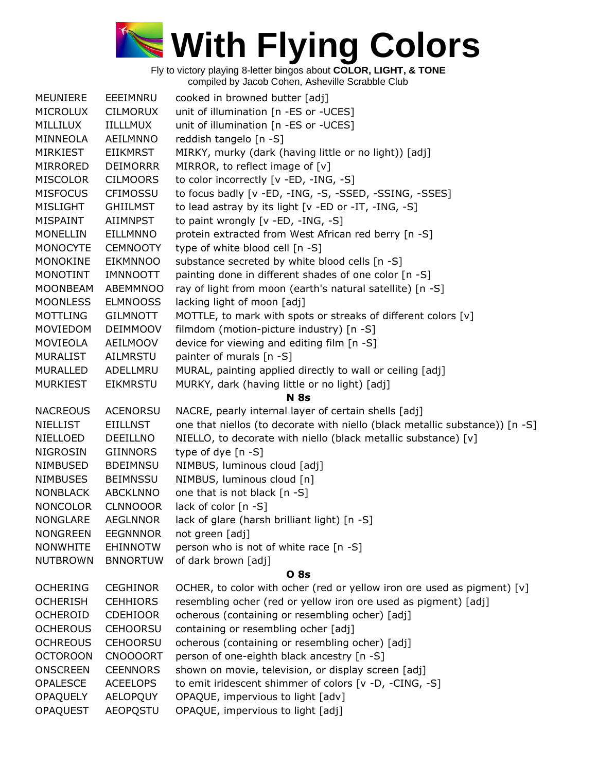

| <b>MEUNIERE</b>                    | EEEIMNRU                    | cooked in browned butter [adj]                                               |
|------------------------------------|-----------------------------|------------------------------------------------------------------------------|
| <b>MICROLUX</b>                    | <b>CILMORUX</b>             | unit of illumination [n -ES or -UCES]                                        |
| MILLILUX                           | IILLLMUX                    | unit of illumination [n -ES or -UCES]                                        |
| MINNEOLA                           | AEILMNNO                    | reddish tangelo [n -S]                                                       |
| <b>MIRKIEST</b>                    | EIIKMRST                    | MIRKY, murky (dark (having little or no light)) [adj]                        |
| MIRRORED                           | <b>DEIMORRR</b>             | MIRROR, to reflect image of [v]                                              |
| <b>MISCOLOR</b>                    | <b>CILMOORS</b>             | to color incorrectly [v -ED, -ING, -S]                                       |
| <b>MISFOCUS</b>                    | <b>CFIMOSSU</b>             | to focus badly [v -ED, -ING, -S, -SSED, -SSING, -SSES]                       |
| MISLIGHT                           | GHIILMST                    | to lead astray by its light [v -ED or -IT, -ING, -S]                         |
| MISPAINT                           | AIIMNPST                    | to paint wrongly [v -ED, -ING, -S]                                           |
| <b>MONELLIN</b>                    | EILLMNNO                    | protein extracted from West African red berry [n -S]                         |
| <b>MONOCYTE</b>                    | <b>CEMNOOTY</b>             | type of white blood cell [n -S]                                              |
| MONOKINE                           | <b>EIKMNNOO</b>             | substance secreted by white blood cells [n -S]                               |
| MONOTINT                           | <b>IMNNOOTT</b>             | painting done in different shades of one color [n -S]                        |
| <b>MOONBEAM</b>                    | ABEMMNOO                    | ray of light from moon (earth's natural satellite) [n -S]                    |
| <b>MOONLESS</b>                    | <b>ELMNOOSS</b>             | lacking light of moon [adj]                                                  |
| <b>MOTTLING</b>                    | <b>GILMNOTT</b>             | MOTTLE, to mark with spots or streaks of different colors [v]                |
| MOVIEDOM                           | <b>DEIMMOOV</b>             | filmdom (motion-picture industry) [n -S]                                     |
| MOVIEOLA                           | AEILMOOV                    | device for viewing and editing film [n -S]                                   |
| MURALIST                           | <b>AILMRSTU</b>             | painter of murals [n -S]                                                     |
| MURALLED                           | ADELLMRU                    | MURAL, painting applied directly to wall or ceiling [adj]                    |
| <b>MURKIEST</b>                    | <b>EIKMRSTU</b>             | MURKY, dark (having little or no light) [adj]                                |
|                                    |                             | <b>N</b> 8s                                                                  |
|                                    |                             |                                                                              |
| <b>NACREOUS</b>                    | <b>ACENORSU</b>             | NACRE, pearly internal layer of certain shells [adj]                         |
| <b>NIELLIST</b>                    | <b>EIILLNST</b>             | one that niellos (to decorate with niello (black metallic substance)) [n -S] |
| NIELLOED                           | DEEILLNO                    | NIELLO, to decorate with niello (black metallic substance) [v]               |
| <b>NIGROSIN</b>                    | <b>GIINNORS</b>             | type of dye $[n - S]$                                                        |
| NIMBUSED                           | <b>BDEIMNSU</b>             | NIMBUS, luminous cloud [adj]                                                 |
| <b>NIMBUSES</b>                    | <b>BEIMNSSU</b>             | NIMBUS, luminous cloud [n]                                                   |
| <b>NONBLACK</b>                    | <b>ABCKLNNO</b>             | one that is not black [n -S]                                                 |
| <b>NONCOLOR</b>                    | <b>CLNNOOOR</b>             | lack of color [n -S]                                                         |
| <b>NONGLARE</b>                    | <b>AEGLNNOR</b>             | lack of glare (harsh brilliant light) [n -S]                                 |
| <b>NONGREEN</b>                    | <b>EEGNNNOR</b>             | not green [adj]                                                              |
| <b>NONWHITE</b>                    | <b>EHINNOTW</b>             | person who is not of white race [n -S]                                       |
| <b>NUTBROWN</b>                    | <b>BNNORTUW</b>             | of dark brown [adj]                                                          |
|                                    |                             | <b>O</b> 8s                                                                  |
| <b>OCHERING</b>                    | <b>CEGHINOR</b>             | OCHER, to color with ocher (red or yellow iron ore used as pigment) $[v]$    |
| <b>OCHERISH</b>                    | <b>CEHHIORS</b>             | resembling ocher (red or yellow iron ore used as pigment) [adj]              |
| <b>OCHEROID</b>                    | <b>CDEHIOOR</b>             | ocherous (containing or resembling ocher) [adj]                              |
| <b>OCHEROUS</b>                    | <b>CEHOORSU</b>             | containing or resembling ocher [adj]                                         |
| <b>OCHREOUS</b>                    | <b>CEHOORSU</b>             | ocherous (containing or resembling ocher) [adj]                              |
| <b>OCTOROON</b>                    | <b>CNOOOORT</b>             | person of one-eighth black ancestry [n -S]                                   |
| <b>ONSCREEN</b>                    | <b>CEENNORS</b>             | shown on movie, television, or display screen [adj]                          |
| <b>OPALESCE</b>                    | <b>ACEELOPS</b>             | to emit iridescent shimmer of colors [v -D, -CING, -S]                       |
| <b>OPAQUELY</b><br><b>OPAQUEST</b> | AELOPQUY<br><b>AEOPQSTU</b> | OPAQUE, impervious to light [adv]<br>OPAQUE, impervious to light [adj]       |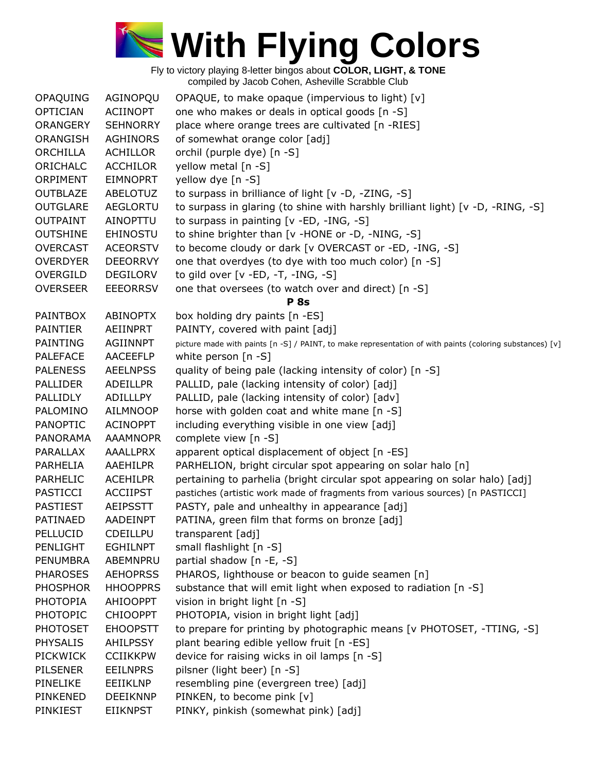

| OPAQUING        | AGINOPQU        | OPAQUE, to make opaque (impervious to light) [v]                                                         |
|-----------------|-----------------|----------------------------------------------------------------------------------------------------------|
| <b>OPTICIAN</b> | <b>ACIINOPT</b> | one who makes or deals in optical goods [n -S]                                                           |
| <b>ORANGERY</b> | <b>SEHNORRY</b> | place where orange trees are cultivated [n -RIES]                                                        |
| ORANGISH        | <b>AGHINORS</b> | of somewhat orange color [adj]                                                                           |
| ORCHILLA        | <b>ACHILLOR</b> | orchil (purple dye) [n -S]                                                                               |
| ORICHALC        | <b>ACCHILOR</b> | yellow metal [n -S]                                                                                      |
| ORPIMENT        | <b>EIMNOPRT</b> | yellow dye [n -S]                                                                                        |
| <b>OUTBLAZE</b> | ABELOTUZ        | to surpass in brilliance of light [v -D, -ZING, -S]                                                      |
| <b>OUTGLARE</b> | <b>AEGLORTU</b> | to surpass in glaring (to shine with harshly brilliant light) [v -D, -RING, -S]                          |
| <b>OUTPAINT</b> | <b>AINOPTTU</b> | to surpass in painting $[v - ED, -ING, -S]$                                                              |
| <b>OUTSHINE</b> | <b>EHINOSTU</b> | to shine brighter than [v -HONE or -D, -NING, -S]                                                        |
| <b>OVERCAST</b> | <b>ACEORSTV</b> | to become cloudy or dark [v OVERCAST or -ED, -ING, -S]                                                   |
| <b>OVERDYER</b> | <b>DEEORRVY</b> | one that overdyes (to dye with too much color) [n -S]                                                    |
| <b>OVERGILD</b> | <b>DEGILORV</b> | to gild over $[v - ED, -T, -ING, -S]$                                                                    |
| <b>OVERSEER</b> | <b>EEEORRSV</b> | one that oversees (to watch over and direct) [n -S]                                                      |
|                 |                 | <b>P</b> 8s                                                                                              |
| <b>PAINTBOX</b> | <b>ABINOPTX</b> | box holding dry paints [n -ES]                                                                           |
| <b>PAINTIER</b> | AEIINPRT        | PAINTY, covered with paint [adj]                                                                         |
| PAINTING        | <b>AGIINNPT</b> | picture made with paints [n -S] / PAINT, to make representation of with paints (coloring substances) [v] |
| <b>PALEFACE</b> | AACEEFLP        | white person [n -S]                                                                                      |
| <b>PALENESS</b> | <b>AEELNPSS</b> | quality of being pale (lacking intensity of color) [n -S]                                                |
| <b>PALLIDER</b> | <b>ADEILLPR</b> | PALLID, pale (lacking intensity of color) [adj]                                                          |
| PALLIDLY        | ADILLLPY        | PALLID, pale (lacking intensity of color) [adv]                                                          |
| PALOMINO        | AILMNOOP        | horse with golden coat and white mane [n -S]                                                             |
| <b>PANOPTIC</b> | <b>ACINOPPT</b> | including everything visible in one view [adj]                                                           |
| PANORAMA        | <b>AAAMNOPR</b> | complete view [n -S]                                                                                     |
| PARALLAX        | <b>AAALLPRX</b> | apparent optical displacement of object [n -ES]                                                          |
| PARHELIA        | AAEHILPR        | PARHELION, bright circular spot appearing on solar halo [n]                                              |
| PARHELIC        | <b>ACEHILPR</b> | pertaining to parhelia (bright circular spot appearing on solar halo) [adj]                              |
| <b>PASTICCI</b> | <b>ACCIIPST</b> | pastiches (artistic work made of fragments from various sources) [n PASTICCI]                            |
| <b>PASTIEST</b> | <b>AEIPSSTT</b> | PASTY, pale and unhealthy in appearance [adj]                                                            |
| PATINAED        | AADEINPT        | PATINA, green film that forms on bronze [adj]                                                            |
| PELLUCID        | CDEILLPU        | transparent [adj]                                                                                        |
| PENLIGHT        | <b>EGHILNPT</b> | small flashlight [n -S]                                                                                  |
| <b>PENUMBRA</b> | ABEMNPRU        | partial shadow [n -E, -S]                                                                                |
| <b>PHAROSES</b> | <b>AEHOPRSS</b> | PHAROS, lighthouse or beacon to guide seamen [n]                                                         |
| <b>PHOSPHOR</b> | <b>HHOOPPRS</b> | substance that will emit light when exposed to radiation [n -S]                                          |
| <b>PHOTOPIA</b> | <b>AHIOOPPT</b> | vision in bright light [n -S]                                                                            |
| <b>PHOTOPIC</b> | <b>CHIOOPPT</b> | PHOTOPIA, vision in bright light [adj]                                                                   |
| <b>PHOTOSET</b> | <b>EHOOPSTT</b> | to prepare for printing by photographic means [v PHOTOSET, -TTING, -S]                                   |
| <b>PHYSALIS</b> | <b>AHILPSSY</b> | plant bearing edible yellow fruit [n -ES]                                                                |
| <b>PICKWICK</b> | <b>CCIIKKPW</b> | device for raising wicks in oil lamps [n -S]                                                             |
| <b>PILSENER</b> | <b>EEILNPRS</b> | pilsner (light beer) [n -S]                                                                              |
| PINELIKE        | EEIIKLNP        | resembling pine (evergreen tree) [adj]                                                                   |
| PINKENED        | <b>DEEIKNNP</b> | PINKEN, to become pink [v]                                                                               |
| PINKIEST        | <b>EIIKNPST</b> | PINKY, pinkish (somewhat pink) [adj]                                                                     |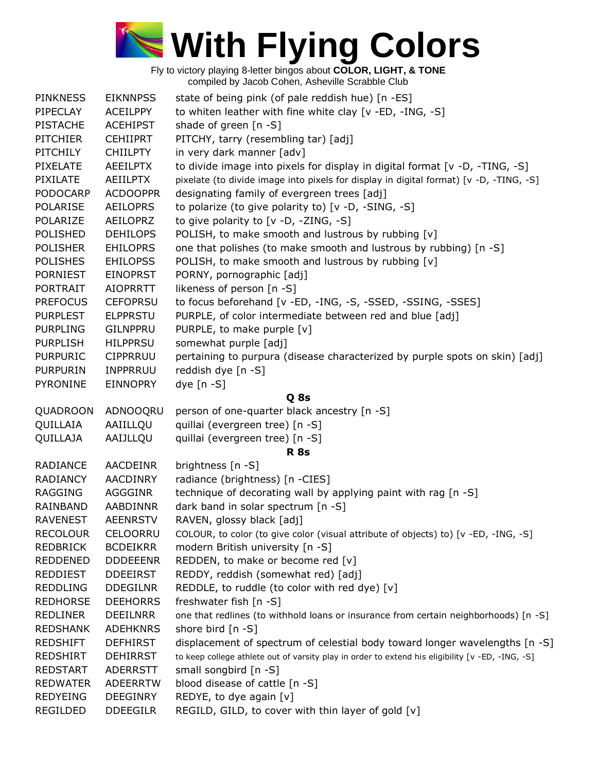

| <b>PINKNESS</b> | <b>EIKNNPSS</b> | state of being pink (of pale reddish hue) [n -ES]                                                |
|-----------------|-----------------|--------------------------------------------------------------------------------------------------|
| PIPECLAY        | <b>ACEILPPY</b> | to whiten leather with fine white clay [v -ED, -ING, -S]                                         |
| <b>PISTACHE</b> | <b>ACEHIPST</b> | shade of green $[n -S]$                                                                          |
| <b>PITCHIER</b> | <b>CEHIIPRT</b> | PITCHY, tarry (resembling tar) [adj]                                                             |
| PITCHILY        | <b>CHIILPTY</b> | in very dark manner [adv]                                                                        |
| <b>PIXELATE</b> | <b>AEEILPTX</b> | to divide image into pixels for display in digital format [v -D, -TING, -S]                      |
| <b>PIXILATE</b> | <b>AEIILPTX</b> | pixelate (to divide image into pixels for display in digital format) [v -D, -TING, -S]           |
| <b>PODOCARP</b> | <b>ACDOOPPR</b> | designating family of evergreen trees [adj]                                                      |
| <b>POLARISE</b> | <b>AEILOPRS</b> | to polarize (to give polarity to) [v -D, -SING, -S]                                              |
| POLARIZE        | <b>AEILOPRZ</b> | to give polarity to [v -D, -ZING, -S]                                                            |
| <b>POLISHED</b> | <b>DEHILOPS</b> | POLISH, to make smooth and lustrous by rubbing [v]                                               |
| <b>POLISHER</b> | <b>EHILOPRS</b> | one that polishes (to make smooth and lustrous by rubbing) [n -S]                                |
| <b>POLISHES</b> | <b>EHILOPSS</b> | POLISH, to make smooth and lustrous by rubbing [v]                                               |
| <b>PORNIEST</b> | <b>EINOPRST</b> | PORNY, pornographic [adj]                                                                        |
| <b>PORTRAIT</b> | <b>AIOPRRTT</b> | likeness of person [n -S]                                                                        |
| <b>PREFOCUS</b> | <b>CEFOPRSU</b> | to focus beforehand [v -ED, -ING, -S, -SSED, -SSING, -SSES]                                      |
| <b>PURPLEST</b> | <b>ELPPRSTU</b> | PURPLE, of color intermediate between red and blue [adj]                                         |
| <b>PURPLING</b> | <b>GILNPPRU</b> | PURPLE, to make purple [v]                                                                       |
| <b>PURPLISH</b> | <b>HILPPRSU</b> | somewhat purple [adj]                                                                            |
| <b>PURPURIC</b> | <b>CIPPRRUU</b> | pertaining to purpura (disease characterized by purple spots on skin) [adj]                      |
| <b>PURPURIN</b> | <b>INPPRRUU</b> | reddish dye [n -S]                                                                               |
| <b>PYRONINE</b> | <b>EINNOPRY</b> | $dye$ [n -S]                                                                                     |
|                 |                 | Q 8s                                                                                             |
| QUADROON        | ADNOOQRU        | person of one-quarter black ancestry [n -S]                                                      |
| QUILLAIA        | AAIILLQU        | quillai (evergreen tree) [n -S]                                                                  |
| QUILLAJA        | AAIJLLQU        | quillai (evergreen tree) [n -S]                                                                  |
|                 |                 | <b>R</b> 8s                                                                                      |
| RADIANCE        | <b>AACDEINR</b> | brightness [n -S]                                                                                |
| <b>RADIANCY</b> | <b>AACDINRY</b> | radiance (brightness) [n -CIES]                                                                  |
| <b>RAGGING</b>  | <b>AGGGINR</b>  | technique of decorating wall by applying paint with rag [n -S]                                   |
| RAINBAND        | <b>AABDINNR</b> | dark band in solar spectrum [n -S]                                                               |
| <b>RAVENEST</b> | <b>AEENRSTV</b> | RAVEN, glossy black [adj]                                                                        |
| <b>RECOLOUR</b> | CELOORRU        | COLOUR, to color (to give color (visual attribute of objects) to) [v -ED, -ING, -S]              |
| <b>REDBRICK</b> | <b>BCDEIKRR</b> | modern British university [n -S]                                                                 |
| <b>REDDENED</b> | <b>DDDEEENR</b> | REDDEN, to make or become red [v]                                                                |
| <b>REDDIEST</b> | <b>DDEEIRST</b> | REDDY, reddish (somewhat red) [adj]                                                              |
| <b>REDDLING</b> | <b>DDEGILNR</b> | REDDLE, to ruddle (to color with red dye) [v]                                                    |
| <b>REDHORSE</b> | <b>DEEHORRS</b> | freshwater fish [n -S]                                                                           |
| <b>REDLINER</b> | <b>DEEILNRR</b> | one that redlines (to withhold loans or insurance from certain neighborhoods) [n -S]             |
| <b>REDSHANK</b> | <b>ADEHKNRS</b> | shore bird [n -S]                                                                                |
| <b>REDSHIFT</b> | <b>DEFHIRST</b> | displacement of spectrum of celestial body toward longer wavelengths [n -S]                      |
| <b>REDSHIRT</b> | <b>DEHIRRST</b> | to keep college athlete out of varsity play in order to extend his eligibility [v -ED, -ING, -S] |
| <b>REDSTART</b> | <b>ADERRSTT</b> | small songbird [n -S]                                                                            |
| <b>REDWATER</b> | <b>ADEERRTW</b> | blood disease of cattle [n -S]                                                                   |
| <b>REDYEING</b> | DEEGINRY        | REDYE, to dye again [v]                                                                          |
| REGILDED        | <b>DDEEGILR</b> | REGILD, GILD, to cover with thin layer of gold [v]                                               |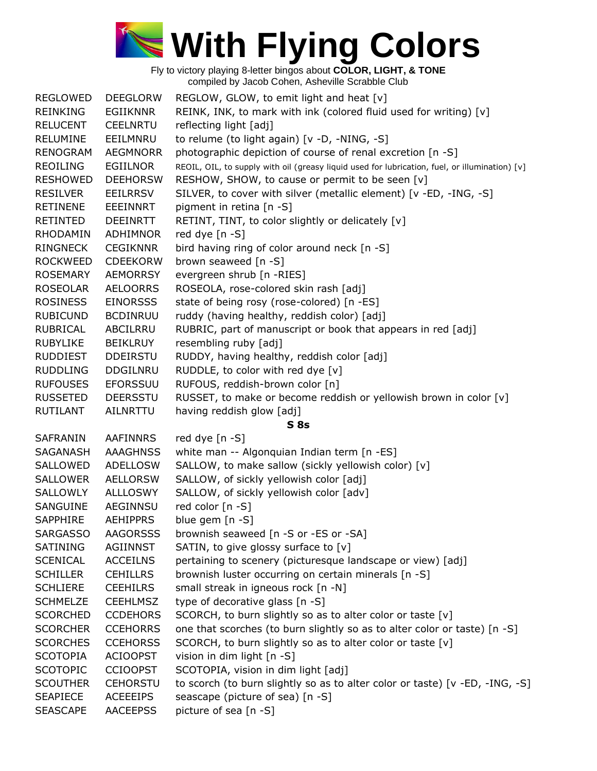

| <b>REGLOWED</b> | <b>DEEGLORW</b> | REGLOW, GLOW, to emit light and heat [v]                                                       |
|-----------------|-----------------|------------------------------------------------------------------------------------------------|
| REINKING        | <b>EGIIKNNR</b> | REINK, INK, to mark with ink (colored fluid used for writing) [v]                              |
| <b>RELUCENT</b> | <b>CEELNRTU</b> | reflecting light [adj]                                                                         |
| <b>RELUMINE</b> | EEILMNRU        | to relume (to light again) [v -D, -NING, -S]                                                   |
| <b>RENOGRAM</b> | <b>AEGMNORR</b> | photographic depiction of course of renal excretion [n -S]                                     |
| <b>REOILING</b> | <b>EGIILNOR</b> | REOIL, OIL, to supply with oil (greasy liquid used for lubrication, fuel, or illumination) [v] |
| <b>RESHOWED</b> | <b>DEEHORSW</b> | RESHOW, SHOW, to cause or permit to be seen [v]                                                |
| <b>RESILVER</b> | <b>EEILRRSV</b> | SILVER, to cover with silver (metallic element) [v -ED, -ING, -S]                              |
| <b>RETINENE</b> | EEEINNRT        | pigment in retina [n -S]                                                                       |
| RETINTED        | <b>DEEINRTT</b> | RETINT, TINT, to color slightly or delicately [v]                                              |
| <b>RHODAMIN</b> | <b>ADHIMNOR</b> | red dye [n -S]                                                                                 |
| <b>RINGNECK</b> | <b>CEGIKNNR</b> | bird having ring of color around neck [n -S]                                                   |
| <b>ROCKWEED</b> | <b>CDEEKORW</b> | brown seaweed [n -S]                                                                           |
| <b>ROSEMARY</b> | <b>AEMORRSY</b> | evergreen shrub [n -RIES]                                                                      |
| ROSEOLAR        | <b>AELOORRS</b> | ROSEOLA, rose-colored skin rash [adj]                                                          |
| <b>ROSINESS</b> | <b>EINORSSS</b> | state of being rosy (rose-colored) [n -ES]                                                     |
| <b>RUBICUND</b> | <b>BCDINRUU</b> | ruddy (having healthy, reddish color) [adj]                                                    |
| <b>RUBRICAL</b> | ABCILRRU        | RUBRIC, part of manuscript or book that appears in red [adj]                                   |
| <b>RUBYLIKE</b> | <b>BEIKLRUY</b> | resembling ruby [adj]                                                                          |
| <b>RUDDIEST</b> | <b>DDEIRSTU</b> | RUDDY, having healthy, reddish color [adj]                                                     |
| <b>RUDDLING</b> | DDGILNRU        | RUDDLE, to color with red dye [v]                                                              |
| <b>RUFOUSES</b> | <b>EFORSSUU</b> | RUFOUS, reddish-brown color [n]                                                                |
| <b>RUSSETED</b> | <b>DEERSSTU</b> | RUSSET, to make or become reddish or yellowish brown in color [v]                              |
| <b>RUTILANT</b> | AILNRTTU        | having reddish glow [adj]                                                                      |
|                 |                 | <b>S</b> 8s                                                                                    |
| <b>SAFRANIN</b> | <b>AAFINNRS</b> | red dye [n -S]                                                                                 |
| SAGANASH        | <b>AAAGHNSS</b> | white man -- Algonquian Indian term [n -ES]                                                    |
| SALLOWED        | <b>ADELLOSW</b> | SALLOW, to make sallow (sickly yellowish color) [v]                                            |
| <b>SALLOWER</b> | <b>AELLORSW</b> | SALLOW, of sickly yellowish color [adj]                                                        |
| SALLOWLY        | <b>ALLLOSWY</b> | SALLOW, of sickly yellowish color [adv]                                                        |
| SANGUINE        | AEGINNSU        | red color [n -S]                                                                               |
| <b>SAPPHIRE</b> | <b>AEHIPPRS</b> | blue gem [n -S]                                                                                |
| <b>SARGASSO</b> | <b>AAGORSSS</b> | brownish seaweed [n -S or -ES or -SA]                                                          |
| SATINING        | AGIINNST        | SATIN, to give glossy surface to [v]                                                           |
| <b>SCENICAL</b> | <b>ACCEILNS</b> | pertaining to scenery (picturesque landscape or view) [adj]                                    |
| <b>SCHILLER</b> | <b>CEHILLRS</b> | brownish luster occurring on certain minerals [n -S]                                           |
| <b>SCHLIERE</b> | <b>CEEHILRS</b> | small streak in igneous rock [n -N]                                                            |
| <b>SCHMELZE</b> | <b>CEEHLMSZ</b> | type of decorative glass [n -S]                                                                |
| <b>SCORCHED</b> | <b>CCDEHORS</b> | SCORCH, to burn slightly so as to alter color or taste [v]                                     |
| <b>SCORCHER</b> | <b>CCEHORRS</b> | one that scorches (to burn slightly so as to alter color or taste) [n -S]                      |
| <b>SCORCHES</b> | <b>CCEHORSS</b> | SCORCH, to burn slightly so as to alter color or taste [v]                                     |
| <b>SCOTOPIA</b> | <b>ACIOOPST</b> | vision in dim light [n -S]                                                                     |
| <b>SCOTOPIC</b> | <b>CCIOOPST</b> | SCOTOPIA, vision in dim light [adj]                                                            |
| <b>SCOUTHER</b> | <b>CEHORSTU</b> | to scorch (to burn slightly so as to alter color or taste) [v -ED, -ING, -S]                   |
| <b>SEAPIECE</b> | <b>ACEEEIPS</b> | seascape (picture of sea) [n -S]                                                               |
| <b>SEASCAPE</b> | <b>AACEEPSS</b> | picture of sea [n -S]                                                                          |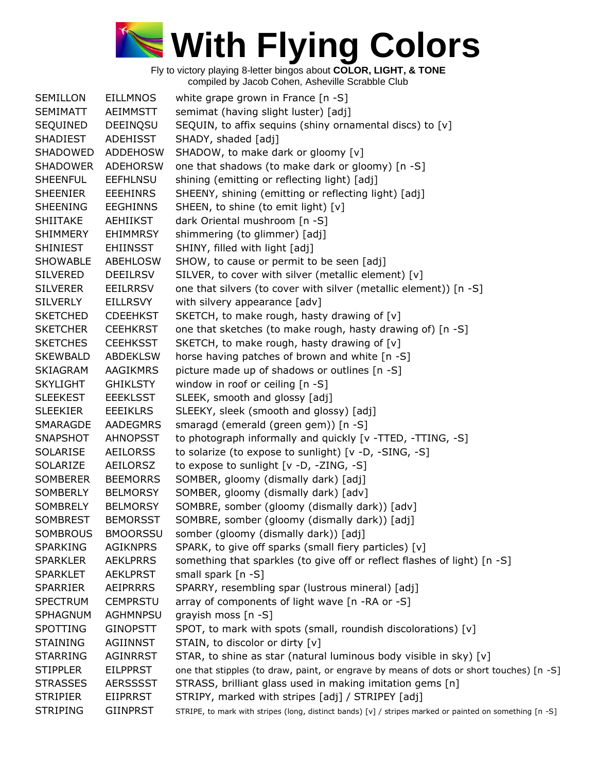

| <b>SEMILLON</b> | <b>EILLMNOS</b> | white grape grown in France $[n -S]$                                                                    |
|-----------------|-----------------|---------------------------------------------------------------------------------------------------------|
| <b>SEMIMATT</b> | AEIMMSTT        | semimat (having slight luster) [adj]                                                                    |
| SEQUINED        | DEEINQSU        | SEQUIN, to affix sequins (shiny ornamental discs) to [v]                                                |
| <b>SHADIEST</b> | ADEHISST        | SHADY, shaded [adj]                                                                                     |
| SHADOWED        | <b>ADDEHOSW</b> | SHADOW, to make dark or gloomy [v]                                                                      |
| <b>SHADOWER</b> | <b>ADEHORSW</b> | one that shadows (to make dark or gloomy) [n -S]                                                        |
| <b>SHEENFUL</b> | <b>EEFHLNSU</b> | shining (emitting or reflecting light) [adj]                                                            |
| <b>SHEENIER</b> | <b>EEEHINRS</b> | SHEENY, shining (emitting or reflecting light) [adj]                                                    |
| <b>SHEENING</b> | <b>EEGHINNS</b> | SHEEN, to shine (to emit light) [v]                                                                     |
| <b>SHIITAKE</b> | AEHIIKST        | dark Oriental mushroom [n -S]                                                                           |
| <b>SHIMMERY</b> | <b>EHIMMRSY</b> | shimmering (to glimmer) [adj]                                                                           |
| <b>SHINIEST</b> | <b>EHIINSST</b> | SHINY, filled with light [adj]                                                                          |
| <b>SHOWABLE</b> | ABEHLOSW        | SHOW, to cause or permit to be seen [adj]                                                               |
| <b>SILVERED</b> | <b>DEEILRSV</b> | SILVER, to cover with silver (metallic element) [v]                                                     |
| <b>SILVERER</b> | <b>EEILRRSV</b> | one that silvers (to cover with silver (metallic element)) [n -S]                                       |
| <b>SILVERLY</b> | <b>EILLRSVY</b> | with silvery appearance [adv]                                                                           |
| <b>SKETCHED</b> | <b>CDEEHKST</b> | SKETCH, to make rough, hasty drawing of [v]                                                             |
| <b>SKETCHER</b> | <b>CEEHKRST</b> | one that sketches (to make rough, hasty drawing of) [n -S]                                              |
| <b>SKETCHES</b> | <b>CEEHKSST</b> | SKETCH, to make rough, hasty drawing of [v]                                                             |
| <b>SKEWBALD</b> | <b>ABDEKLSW</b> | horse having patches of brown and white [n -S]                                                          |
| <b>SKIAGRAM</b> | <b>AAGIKMRS</b> | picture made up of shadows or outlines [n -S]                                                           |
| <b>SKYLIGHT</b> | <b>GHIKLSTY</b> | window in roof or ceiling [n -S]                                                                        |
| <b>SLEEKEST</b> | <b>EEEKLSST</b> | SLEEK, smooth and glossy [adj]                                                                          |
| <b>SLEEKIER</b> | <b>EEEIKLRS</b> | SLEEKY, sleek (smooth and glossy) [adj]                                                                 |
| SMARAGDE        | <b>AADEGMRS</b> | smaragd (emerald (green gem)) [n -S]                                                                    |
| SNAPSHOT        | <b>AHNOPSST</b> | to photograph informally and quickly [v -TTED, -TTING, -S]                                              |
| <b>SOLARISE</b> | <b>AEILORSS</b> | to solarize (to expose to sunlight) [v -D, -SING, -S]                                                   |
| SOLARIZE        | AEILORSZ        | to expose to sunlight [v -D, -ZING, -S]                                                                 |
| <b>SOMBERER</b> | <b>BEEMORRS</b> | SOMBER, gloomy (dismally dark) [adj]                                                                    |
| SOMBERLY        | <b>BELMORSY</b> | SOMBER, gloomy (dismally dark) [adv]                                                                    |
| <b>SOMBRELY</b> | <b>BELMORSY</b> | SOMBRE, somber (gloomy (dismally dark)) [adv]                                                           |
| <b>SOMBREST</b> | <b>BEMORSST</b> | SOMBRE, somber (gloomy (dismally dark)) [adj]                                                           |
| <b>SOMBROUS</b> | <b>BMOORSSU</b> | somber (gloomy (dismally dark)) [adj]                                                                   |
| <b>SPARKING</b> | <b>AGIKNPRS</b> | SPARK, to give off sparks (small fiery particles) [v]                                                   |
| <b>SPARKLER</b> | <b>AEKLPRRS</b> | something that sparkles (to give off or reflect flashes of light) [n -S]                                |
| <b>SPARKLET</b> | <b>AEKLPRST</b> | small spark [n -S]                                                                                      |
| <b>SPARRIER</b> | <b>AEIPRRRS</b> | SPARRY, resembling spar (lustrous mineral) [adj]                                                        |
| <b>SPECTRUM</b> | <b>CEMPRSTU</b> | array of components of light wave [n -RA or -S]                                                         |
| <b>SPHAGNUM</b> | <b>AGHMNPSU</b> | grayish moss [n -S]                                                                                     |
| <b>SPOTTING</b> | <b>GINOPSTT</b> | SPOT, to mark with spots (small, roundish discolorations) [v]                                           |
| <b>STAINING</b> | AGIINNST        | STAIN, to discolor or dirty [v]                                                                         |
| <b>STARRING</b> | <b>AGINRRST</b> | STAR, to shine as star (natural luminous body visible in sky) [v]                                       |
| <b>STIPPLER</b> | <b>EILPPRST</b> | one that stipples (to draw, paint, or engrave by means of dots or short touches) [n -S]                 |
| <b>STRASSES</b> | <b>AERSSSST</b> | STRASS, brilliant glass used in making imitation gems [n]                                               |
| <b>STRIPIER</b> | <b>EIIPRRST</b> | STRIPY, marked with stripes [adj] / STRIPEY [adj]                                                       |
| <b>STRIPING</b> | <b>GIINPRST</b> | STRIPE, to mark with stripes (long, distinct bands) [v] / stripes marked or painted on something [n -S] |
|                 |                 |                                                                                                         |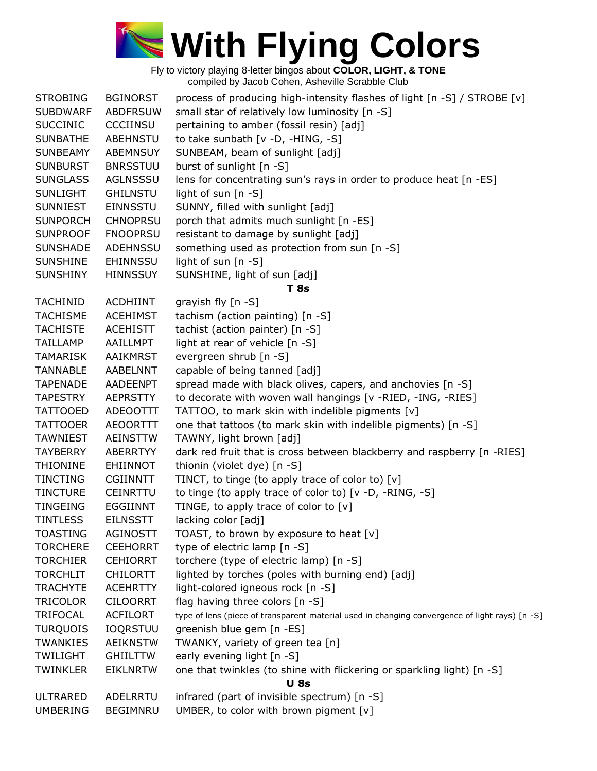

| <b>STROBING</b> | <b>BGINORST</b>                    | process of producing high-intensity flashes of light [n -S] / STROBE [v]                       |
|-----------------|------------------------------------|------------------------------------------------------------------------------------------------|
| <b>SUBDWARF</b> | <b>ABDFRSUW</b>                    | small star of relatively low luminosity [n -S]                                                 |
| <b>SUCCINIC</b> | <b>CCCIINSU</b>                    | pertaining to amber (fossil resin) [adj]                                                       |
| <b>SUNBATHE</b> | ABEHNSTU                           | to take sunbath [v -D, -HING, -S]                                                              |
| <b>SUNBEAMY</b> | ABEMNSUY                           | SUNBEAM, beam of sunlight [adj]                                                                |
| <b>SUNBURST</b> | <b>BNRSSTUU</b>                    | burst of sunlight [n -S]                                                                       |
| <b>SUNGLASS</b> | <b>AGLNSSSU</b>                    | lens for concentrating sun's rays in order to produce heat [n -ES]                             |
| <b>SUNLIGHT</b> | <b>GHILNSTU</b>                    | light of sun [n -S]                                                                            |
| <b>SUNNIEST</b> | <b>EINNSSTU</b>                    | SUNNY, filled with sunlight [adj]                                                              |
| <b>SUNPORCH</b> | <b>CHNOPRSU</b>                    | porch that admits much sunlight [n -ES]                                                        |
| <b>SUNPROOF</b> | <b>FNOOPRSU</b>                    | resistant to damage by sunlight [adj]                                                          |
| <b>SUNSHADE</b> | <b>ADEHNSSU</b>                    | something used as protection from sun [n -S]                                                   |
| <b>SUNSHINE</b> | EHINNSSU                           | light of sun [n -S]                                                                            |
| <b>SUNSHINY</b> | <b>HINNSSUY</b>                    | SUNSHINE, light of sun [adj]                                                                   |
|                 |                                    | <b>T</b> 8s                                                                                    |
| <b>TACHINID</b> | <b>ACDHIINT</b>                    | grayish fly [n -S]                                                                             |
| <b>TACHISME</b> | <b>ACEHIMST</b>                    | tachism (action painting) [n -S]                                                               |
| <b>TACHISTE</b> | <b>ACEHISTT</b>                    | tachist (action painter) [n -S]                                                                |
| <b>TAILLAMP</b> | AAILLMPT                           | light at rear of vehicle [n -S]                                                                |
| <b>TAMARISK</b> | <b>AAIKMRST</b>                    | evergreen shrub [n -S]                                                                         |
| <b>TANNABLE</b> | <b>AABELNNT</b>                    | capable of being tanned [adj]                                                                  |
| <b>TAPENADE</b> | AADEENPT                           | spread made with black olives, capers, and anchovies [n -S]                                    |
| <b>TAPESTRY</b> | AEPRSTTY                           | to decorate with woven wall hangings [v -RIED, -ING, -RIES]                                    |
| <b>TATTOOED</b> | <b>ADEOOTTT</b>                    | TATTOO, to mark skin with indelible pigments [v]                                               |
| <b>TATTOOER</b> | <b>AEOORTTT</b>                    | one that tattoos (to mark skin with indelible pigments) [n -S]                                 |
| <b>TAWNIEST</b> | AEINSTTW                           | TAWNY, light brown [adj]                                                                       |
| <b>TAYBERRY</b> | ABERRTYY                           | dark red fruit that is cross between blackberry and raspberry [n -RIES]                        |
| <b>THIONINE</b> | EHIINNOT                           | thionin (violet dye) [n -S]                                                                    |
| <b>TINCTING</b> | <b>CGIINNTT</b>                    | TINCT, to tinge (to apply trace of color to) [v]                                               |
| <b>TINCTURE</b> | <b>CEINRTTU</b>                    | to tinge (to apply trace of color to) [v -D, -RING, -S]                                        |
| <b>TINGEING</b> | <b>EGGIINNT</b>                    | TINGE, to apply trace of color to [v]                                                          |
| <b>TINTLESS</b> | <b>EILNSSTT</b>                    | lacking color [adj]                                                                            |
| <b>TOASTING</b> | <b>AGINOSTT</b>                    | TOAST, to brown by exposure to heat [v]                                                        |
| <b>TORCHERE</b> | <b>CEEHORRT</b>                    | type of electric lamp [n -S]                                                                   |
| <b>TORCHIER</b> | <b>CEHIORRT</b>                    | torchere (type of electric lamp) [n -S]                                                        |
| <b>TORCHLIT</b> | <b>CHILORTT</b>                    | lighted by torches (poles with burning end) [adj]                                              |
| <b>TRACHYTE</b> | <b>ACEHRTTY</b>                    | light-colored igneous rock [n -S]                                                              |
| <b>TRICOLOR</b> | <b>CILOORRT</b>                    | flag having three colors [n -S]                                                                |
| <b>TRIFOCAL</b> | <b>ACFILORT</b>                    | type of lens (piece of transparent material used in changing convergence of light rays) [n -S] |
|                 |                                    |                                                                                                |
| <b>TURQUOIS</b> | <b>IOQRSTUU</b><br><b>AEIKNSTW</b> | greenish blue gem [n -ES]                                                                      |
| <b>TWANKIES</b> |                                    | TWANKY, variety of green tea [n]                                                               |
| <b>TWILIGHT</b> | <b>GHILTTW</b>                     | early evening light [n -S]                                                                     |
| <b>TWINKLER</b> | <b>EIKLNRTW</b>                    | one that twinkles (to shine with flickering or sparkling light) [n -S]                         |
|                 |                                    | <b>U</b> 8s                                                                                    |
| <b>ULTRARED</b> | ADELRRTU                           | infrared (part of invisible spectrum) [n -S]                                                   |
| <b>UMBERING</b> | <b>BEGIMNRU</b>                    | UMBER, to color with brown pigment [v]                                                         |